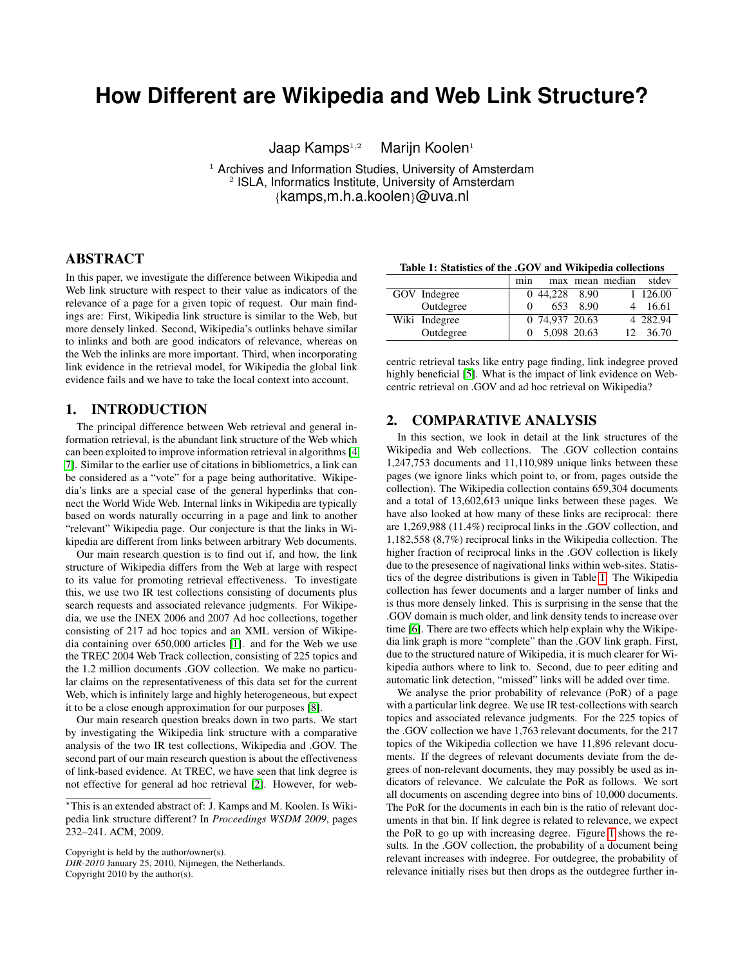# **How Different are Wikipedia and Web Link Structure?**

Jaap Kamps<sup>1,2</sup> Marijn Koolen<sup>1</sup>

<sup>1</sup> Archives and Information Studies, University of Amsterdam <sup>2</sup> ISLA, Informatics Institute, University of Amsterdam {kamps,m.h.a.koolen}@uva.nl

### ABSTRACT

In this paper, we investigate the difference between Wikipedia and Web link structure with respect to their value as indicators of the relevance of a page for a given topic of request. Our main findings are: First, Wikipedia link structure is similar to the Web, but more densely linked. Second, Wikipedia's outlinks behave similar to inlinks and both are good indicators of relevance, whereas on the Web the inlinks are more important. Third, when incorporating link evidence in the retrieval model, for Wikipedia the global link evidence fails and we have to take the local context into account.

## 1. INTRODUCTION

The principal difference between Web retrieval and general information retrieval, is the abundant link structure of the Web which can been exploited to improve information retrieval in algorithms [\[4,](#page-1-0) [7\]](#page-1-1). Similar to the earlier use of citations in bibliometrics, a link can be considered as a "vote" for a page being authoritative. Wikipedia's links are a special case of the general hyperlinks that connect the World Wide Web. Internal links in Wikipedia are typically based on words naturally occurring in a page and link to another "relevant" Wikipedia page. Our conjecture is that the links in Wikipedia are different from links between arbitrary Web documents.

Our main research question is to find out if, and how, the link structure of Wikipedia differs from the Web at large with respect to its value for promoting retrieval effectiveness. To investigate this, we use two IR test collections consisting of documents plus search requests and associated relevance judgments. For Wikipedia, we use the INEX 2006 and 2007 Ad hoc collections, together consisting of 217 ad hoc topics and an XML version of Wikipedia containing over 650,000 articles [\[1\]](#page-1-2). and for the Web we use the TREC 2004 Web Track collection, consisting of 225 topics and the 1.2 million documents .GOV collection. We make no particular claims on the representativeness of this data set for the current Web, which is infinitely large and highly heterogeneous, but expect it to be a close enough approximation for our purposes [\[8\]](#page-1-3).

Our main research question breaks down in two parts. We start by investigating the Wikipedia link structure with a comparative analysis of the two IR test collections, Wikipedia and .GOV. The second part of our main research question is about the effectiveness of link-based evidence. At TREC, we have seen that link degree is not effective for general ad hoc retrieval [\[2\]](#page-1-4). However, for web-

Copyright is held by the author/owner(s).

*DIR-2010* January 25, 2010, Nijmegen, the Netherlands. Copyright 2010 by the author(s).

min max mean median stdev GOV Indegree 0 44,228 8.90 1 126.00 Outdegree | 0 653 8.90 4 16.61 Wiki Indegree 0 74,937 20.63 4 282.94 Outdegree 1 0 5,098 20.63 12 36.70

<span id="page-0-0"></span>

centric retrieval tasks like entry page finding, link indegree proved highly beneficial [\[5\]](#page-1-5). What is the impact of link evidence on Webcentric retrieval on .GOV and ad hoc retrieval on Wikipedia?

### 2. COMPARATIVE ANALYSIS

In this section, we look in detail at the link structures of the Wikipedia and Web collections. The .GOV collection contains 1,247,753 documents and 11,110,989 unique links between these pages (we ignore links which point to, or from, pages outside the collection). The Wikipedia collection contains 659,304 documents and a total of 13,602,613 unique links between these pages. We have also looked at how many of these links are reciprocal: there are 1,269,988 (11.4%) reciprocal links in the .GOV collection, and 1,182,558 (8,7%) reciprocal links in the Wikipedia collection. The higher fraction of reciprocal links in the .GOV collection is likely due to the presesence of nagivational links within web-sites. Statistics of the degree distributions is given in Table [1.](#page-0-0) The Wikipedia collection has fewer documents and a larger number of links and is thus more densely linked. This is surprising in the sense that the .GOV domain is much older, and link density tends to increase over time [\[6\]](#page-1-6). There are two effects which help explain why the Wikipedia link graph is more "complete" than the .GOV link graph. First, due to the structured nature of Wikipedia, it is much clearer for Wikipedia authors where to link to. Second, due to peer editing and automatic link detection, "missed" links will be added over time.

We analyse the prior probability of relevance (PoR) of a page with a particular link degree. We use IR test-collections with search topics and associated relevance judgments. For the 225 topics of the .GOV collection we have 1,763 relevant documents, for the 217 topics of the Wikipedia collection we have 11,896 relevant documents. If the degrees of relevant documents deviate from the degrees of non-relevant documents, they may possibly be used as indicators of relevance. We calculate the PoR as follows. We sort all documents on ascending degree into bins of 10,000 documents. The PoR for the documents in each bin is the ratio of relevant documents in that bin. If link degree is related to relevance, we expect the PoR to go up with increasing degree. Figure [1](#page-1-7) shows the results. In the .GOV collection, the probability of a document being relevant increases with indegree. For outdegree, the probability of relevance initially rises but then drops as the outdegree further in-

<sup>?</sup>This is an extended abstract of: J. Kamps and M. Koolen. Is Wikipedia link structure different? In *Proceedings WSDM 2009*, pages 232–241. ACM, 2009.